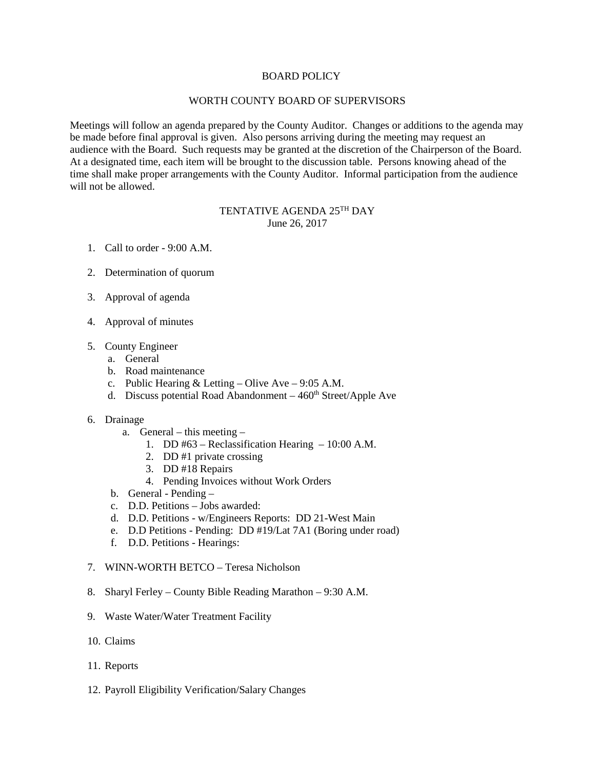## BOARD POLICY

## WORTH COUNTY BOARD OF SUPERVISORS

Meetings will follow an agenda prepared by the County Auditor. Changes or additions to the agenda may be made before final approval is given. Also persons arriving during the meeting may request an audience with the Board. Such requests may be granted at the discretion of the Chairperson of the Board. At a designated time, each item will be brought to the discussion table. Persons knowing ahead of the time shall make proper arrangements with the County Auditor. Informal participation from the audience will not be allowed.

## TENTATIVE AGENDA 25TH DAY June 26, 2017

- 1. Call to order 9:00 A.M.
- 2. Determination of quorum
- 3. Approval of agenda
- 4. Approval of minutes
- 5. County Engineer
	- a. General
	- b. Road maintenance
	- c. Public Hearing & Letting Olive Ave 9:05 A.M.
	- d. Discuss potential Road Abandonment  $-460<sup>th</sup> Street/Apple$  Ave
- 6. Drainage
	- a. General this meeting
		- 1. DD #63 Reclassification Hearing 10:00 A.M.
		- 2. DD #1 private crossing
		- 3. DD #18 Repairs
		- 4. Pending Invoices without Work Orders
	- b. General Pending –
	- c. D.D. Petitions Jobs awarded:
	- d. D.D. Petitions w/Engineers Reports: DD 21-West Main
	- e. D.D Petitions Pending: DD #19/Lat 7A1 (Boring under road)
	- f. D.D. Petitions Hearings:
- 7. WINN-WORTH BETCO Teresa Nicholson
- 8. Sharyl Ferley County Bible Reading Marathon 9:30 A.M.
- 9. Waste Water/Water Treatment Facility
- 10. Claims
- 11. Reports
- 12. Payroll Eligibility Verification/Salary Changes